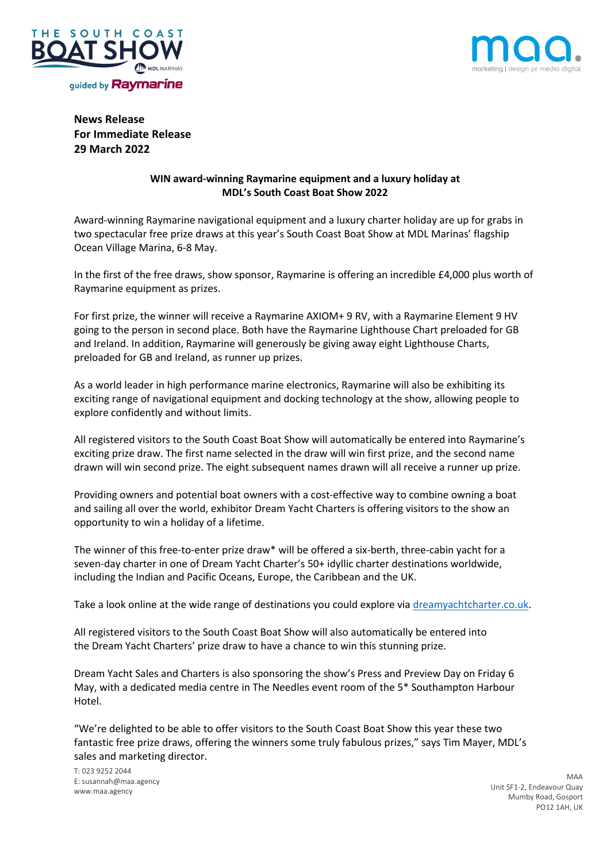



**News Release For Immediate Release 29 March 2022**

## **WIN award-winning Raymarine equipment and a luxury holiday at MDL's South Coast Boat Show 2022**

Award-winning Raymarine navigational equipment and a luxury charter holiday are up for grabs in two spectacular free prize draws at this year's South Coast Boat Show at MDL Marinas' flagship Ocean Village Marina, 6-8 May.

In the first of the free draws, show sponsor, Raymarine is offering an incredible £4,000 plus worth of Raymarine equipment as prizes.

For first prize, the winner will receive a Raymarine AXIOM+ 9 RV, with a Raymarine Element 9 HV going to the person in second place. Both have the Raymarine Lighthouse Chart preloaded for GB and Ireland. In addition, Raymarine will generously be giving away eight Lighthouse Charts, preloaded for GB and Ireland, as runner up prizes.

As a world leader in high performance marine electronics, Raymarine will also be exhibiting its exciting range of navigational equipment and docking technology at the show, allowing people to explore confidently and without limits.

All registered visitors to the South Coast Boat Show will automatically be entered into Raymarine's exciting prize draw. The first name selected in the draw will win first prize, and the second name drawn will win second prize. The eight subsequent names drawn will all receive a runner up prize.

Providing owners and potential boat owners with a cost-effective way to combine owning a boat and sailing all over the world, exhibitor Dream Yacht Charters is offering visitors to the show an opportunity to win a holiday of a lifetime.

The winner of this free-to-enter prize draw\* will be offered a six-berth, three-cabin yacht for a seven-day charter in one of Dream Yacht Charter's 50+ idyllic charter destinations worldwide, including the Indian and Pacific Oceans, Europe, the Caribbean and the UK.

Take a look online at the wide range of destinations you could explore via dreamyachtcharter.co.uk.

All registered visitors to the South Coast Boat Show will also automatically be entered into the Dream Yacht Charters' prize draw to have a chance to win this stunning prize.

Dream Yacht Sales and Charters is also sponsoring the show's Press and Preview Day on Friday 6 May, with a dedicated media centre in The Needles event room of the 5\* Southampton Harbour Hotel.

"We're delighted to be able to offer visitors to the South Coast Boat Show this year these two fantastic free prize draws, offering the winners some truly fabulous prizes," says Tim Mayer, MDL's sales and marketing director.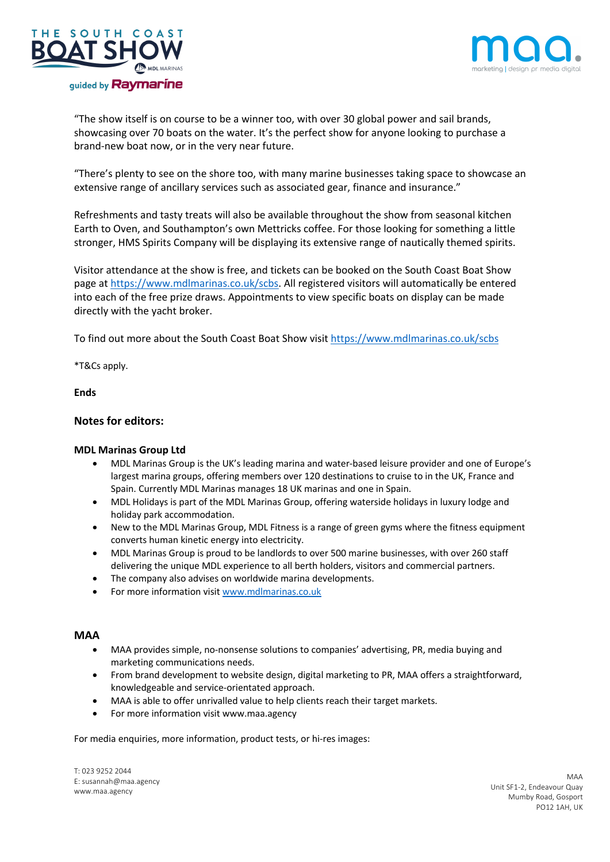



"The show itself is on course to be a winner too, with over 30 global power and sail brands, showcasing over 70 boats on the water. It's the perfect show for anyone looking to purchase a brand-new boat now, or in the very near future.

"There's plenty to see on the shore too, with many marine businesses taking space to showcase an extensive range of ancillary services such as associated gear, finance and insurance."

Refreshments and tasty treats will also be available throughout the show from seasonal kitchen Earth to Oven, and Southampton's own Mettricks coffee. For those looking for something a little stronger, HMS Spirits Company will be displaying its extensive range of nautically themed spirits.

Visitor attendance at the show is free, and tickets can be booked on the South Coast Boat Show page at https://www.mdlmarinas.co.uk/scbs. All registered visitors will automatically be entered into each of the free prize draws. Appointments to view specific boats on display can be made directly with the yacht broker.

To find out more about the South Coast Boat Show visit https://www.mdlmarinas.co.uk/scbs

\*T&Cs apply.

### **Ends**

# **Notes for editors:**

### **MDL Marinas Group Ltd**

- MDL Marinas Group is the UK's leading marina and water-based leisure provider and one of Europe's largest marina groups, offering members over 120 destinations to cruise to in the UK, France and Spain. Currently MDL Marinas manages 18 UK marinas and one in Spain.
- MDL Holidays is part of the MDL Marinas Group, offering waterside holidays in luxury lodge and holiday park accommodation.
- New to the MDL Marinas Group, MDL Fitness is a range of green gyms where the fitness equipment converts human kinetic energy into electricity.
- MDL Marinas Group is proud to be landlords to over 500 marine businesses, with over 260 staff delivering the unique MDL experience to all berth holders, visitors and commercial partners.
- The company also advises on worldwide marina developments.
- For more information visit www.mdlmarinas.co.uk

### **MAA**

- MAA provides simple, no-nonsense solutions to companies' advertising, PR, media buying and marketing communications needs.
- From brand development to website design, digital marketing to PR, MAA offers a straightforward, knowledgeable and service-orientated approach.
- MAA is able to offer unrivalled value to help clients reach their target markets.
- For more information visit www.maa.agency

For media enquiries, more information, product tests, or hi-res images:

T: 023 9252 2044 E: susannah@maa.agency www.maa.agency